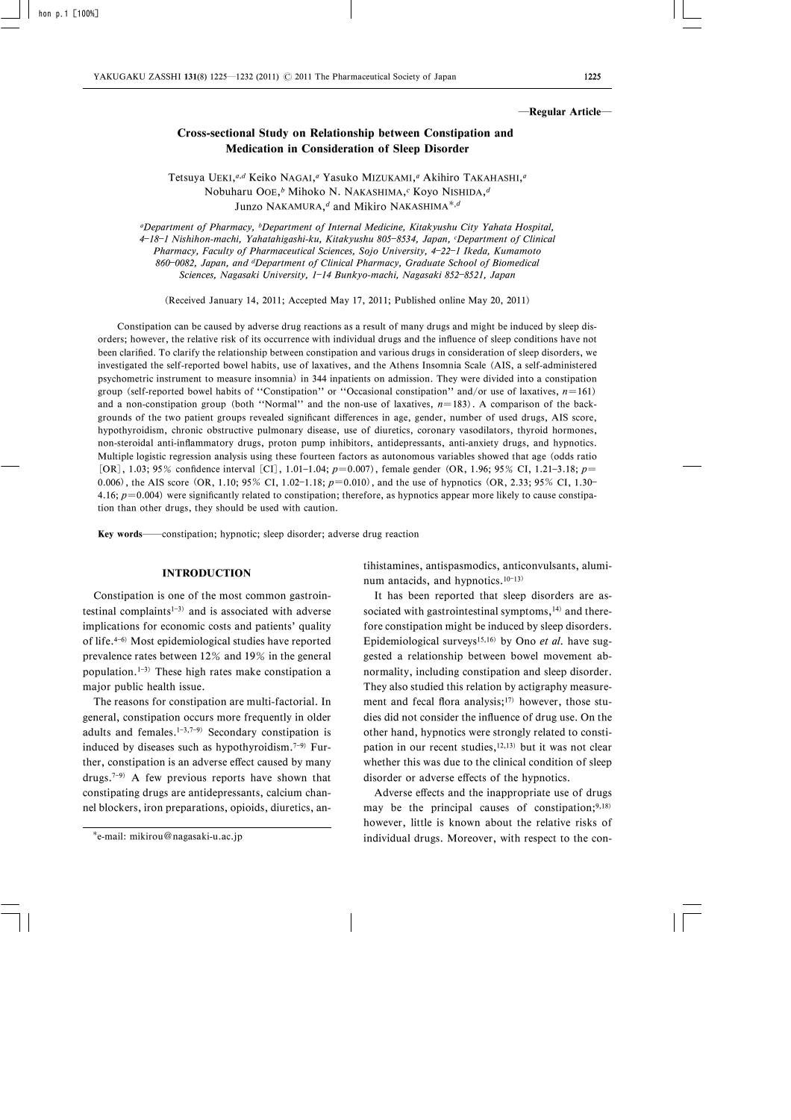#### ―Regular Article―

# Cross-sectional Study on Relationship between Constipation and Medication in Consideration of Sleep Disorder

Tetsuya UEKI,<sup>a,d</sup> Keiko NAGAI,<sup>a</sup> Yasuko MIZUKAMI,<sup>a</sup> Akihiro TAKAHASHI,<sup>a</sup> Nobuharu OOE,<sup>b</sup> Mihoko N. NAKASHIMA,<sup>c</sup> Koyo NISHIDA,<sup>d</sup> Junzo NAKAMURA,<sup>d</sup> and Mikiro NAKASHIMA<sup>\*,d</sup>

aDepartment of Pharmacy, bDepartment of Internal Medicine, Kitakyushu City Yahata Hospital, 4–18–1 Nishihon-machi, Yahatahigashi-ku, Kitakyushu 805–8534, Japan, <sup>c</sup>Department of Clinical Pharmacy, Faculty of Pharmaceutical Sciences, Sojo University, 4-22-1 Ikeda, Kumamoto 860-0082, Japan, and dDepartment of Clinical Pharmacy, Graduate School of Biomedical Sciences, Nagasaki University, 1-14 Bunkyo-machi, Nagasaki 852-8521, Japan

(Received January 14, 2011; Accepted May 17, 2011; Published online May 20, 2011)

Constipation can be caused by adverse drug reactions as a result of many drugs and might be induced by sleep disorders; however, the relative risk of its occurrence with individual drugs and the influence of sleep conditions have not been clarified. To clarify the relationship between constipation and various drugs in consideration of sleep disorders, we investigated the self-reported bowel habits, use of laxatives, and the Athens Insomnia Scale (AIS, a self-administered psychometric instrument to measure insomnia) in 344 inpatients on admission. They were divided into a constipation group (self-reported bowel habits of "Constipation" or "Occasional constipation" and/or use of laxatives,  $n=161$ ) and a non-constipation group (both "Normal" and the non-use of laxatives,  $n=183$ ). A comparison of the backgrounds of the two patient groups revealed significant differences in age, gender, number of used drugs, AIS score, hypothyroidism, chronic obstructive pulmonary disease, use of diuretics, coronary vasodilators, thyroid hormones, non-steroidal anti-inflammatory drugs, proton pump inhibitors, antidepressants, anti-anxiety drugs, and hypnotics. Multiple logistic regression analysis using these fourteen factors as autonomous variables showed that age (odds ratio [OR], 1.03; 95% confidence interval [CI], 1.01–1.04;  $p=0.007$ ), female gender (OR, 1.96; 95% CI, 1.21–3.18;  $p=$ 0.006), the AIS score (OR, 1.10; 95% CI, 1.02–1.18;  $p=0.010$ ), and the use of hypnotics (OR, 2.33; 95% CI, 1.30– 4.16;  $p=0.004$ ) were significantly related to constipation; therefore, as hypnotics appear more likely to cause constipation than other drugs, they should be used with caution.

Key words—constipation; hypnotic; sleep disorder; adverse drug reaction

## INTRODUCTION

Constipation is one of the most common gastrointestinal complaints $1-3$  and is associated with adverse implications for economic costs and patients' quality of life. $4-6$ ) Most epidemiological studies have reported prevalence rates between 12% and 19% in the general population.<sup>1-3)</sup> These high rates make constipation a major public health issue.

The reasons for constipation are multi-factorial. In general, constipation occurs more frequently in older adults and females.<sup>1-3,7-9)</sup> Secondary constipation is induced by diseases such as hypothyroidism. $7-9$  Further, constipation is an adverse effect caused by many drugs.<sup>7-9)</sup> A few previous reports have shown that constipating drugs are antidepressants, calcium channel blockers, iron preparations, opioids, diuretics, antihistamines, antispasmodics, anticonvulsants, aluminum antacids, and hypnotics.<sup>10-13)</sup>

It has been reported that sleep disorders are associated with gastrointestinal symptoms,<sup>14)</sup> and therefore constipation might be induced by sleep disorders. Epidemiological surveys<sup>15,16)</sup> by Ono *et al*. have suggested a relationship between bowel movement abnormality, including constipation and sleep disorder. They also studied this relation by actigraphy measurement and fecal flora analysis;<sup>17)</sup> however, those studies did not consider the influence of drug use. On the other hand, hypnotics were strongly related to constipation in our recent studies, $12,13)$  but it was not clear whether this was due to the clinical condition of sleep disorder or adverse effects of the hypnotics.

Adverse effects and the inappropriate use of drugs may be the principal causes of constipation; $9,18$ ) however, little is known about the relative risks of individual drugs. Moreover, with respect to the con-

e-mail: mikirou@nagasaki-u.ac.jp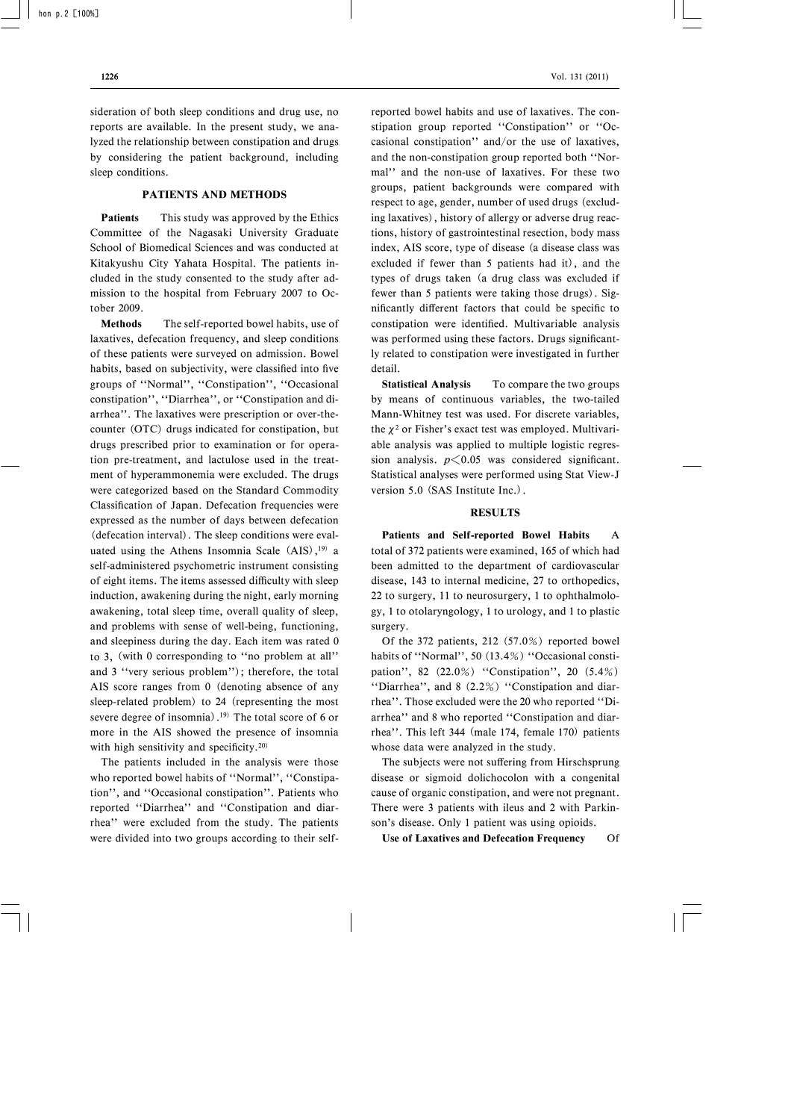sideration of both sleep conditions and drug use, no reports are available. In the present study, we analyzed the relationship between constipation and drugs by considering the patient background, including sleep conditions.

### PATIENTS AND METHODS

**Patients** This study was approved by the Ethics Committee of the Nagasaki University Graduate School of Biomedical Sciences and was conducted at Kitakyushu City Yahata Hospital. The patients included in the study consented to the study after admission to the hospital from February 2007 to October 2009.

Methods The self-reported bowel habits, use of laxatives, defecation frequency, and sleep conditions of these patients were surveyed on admission. Bowel habits, based on subjectivity, were classified into five groups of "Normal", "Constipation", "Occasional constipation", "Diarrhea", or "Constipation and diarrhea''. The laxatives were prescription or over-thecounter (OTC) drugs indicated for constipation, but drugs prescribed prior to examination or for operation pre-treatment, and lactulose used in the treatment of hyperammonemia were excluded. The drugs were categorized based on the Standard Commodity Classification of Japan. Defecation frequencies were expressed as the number of days between defecation (defecation interval). The sleep conditions were evaluated using the Athens Insomnia Scale  $(AIS),<sup>19</sup>$  a self-administered psychometric instrument consisting of eight items. The items assessed difficulty with sleep induction, awakening during the night, early morning awakening, total sleep time, overall quality of sleep, and problems with sense of well-being, functioning, and sleepiness during the day. Each item was rated 0 to 3, (with 0 corresponding to "no problem at all" and 3 "very serious problem"); therefore, the total AIS score ranges from 0 (denoting absence of any sleep-related problem) to 24 (representing the most severe degree of insomnia).19) The total score of 6 or more in the AIS showed the presence of insomnia with high sensitivity and specificity.<sup>20)</sup>

The patients included in the analysis were those who reported bowel habits of "Normal", "Constipation", and "Occasional constipation". Patients who reported "Diarrhea" and "Constipation and diarrhea'' were excluded from the study. The patients were divided into two groups according to their selfreported bowel habits and use of laxatives. The constipation group reported "Constipation" or "Occasional constipation'' and/or the use of laxatives, and the non-constipation group reported both "Normal'' and the non-use of laxatives. For these two groups, patient backgrounds were compared with respect to age, gender, number of used drugs (excluding laxatives), history of allergy or adverse drug reactions, history of gastrointestinal resection, body mass index, AIS score, type of disease (a disease class was excluded if fewer than 5 patients had it), and the types of drugs taken (a drug class was excluded if fewer than 5 patients were taking those drugs). Significantly different factors that could be specific to constipation were identified. Multivariable analysis was performed using these factors. Drugs significantly related to constipation were investigated in further detail.

Statistical Analysis To compare the two groups by means of continuous variables, the two-tailed Mann-Whitney test was used. For discrete variables, the  $\chi^2$  or Fisher's exact test was employed. Multivariable analysis was applied to multiple logistic regression analysis.  $p \le 0.05$  was considered significant. Statistical analyses were performed using Stat View-J version 5.0 (SAS Institute Inc.).

#### RESULTS

Patients and Self-reported Bowel Habits A total of 372 patients were examined, 165 of which had been admitted to the department of cardiovascular disease, 143 to internal medicine, 27 to orthopedics, 22 to surgery, 11 to neurosurgery, 1 to ophthalmology, 1 to otolaryngology, 1 to urology, and 1 to plastic surgery.

Of the 372 patients, 212 (57.0%) reported bowel habits of "Normal", 50 (13.4%) "Occasional constipation", 82  $(22.0\%)$  "Constipation", 20  $(5.4\%)$ "Diarrhea", and 8  $(2.2\%)$  "Constipation and diarrhea". Those excluded were the 20 who reported "Diarrhea" and 8 who reported "Constipation and diarrhea''. This left 344 (male 174, female 170) patients whose data were analyzed in the study.

The subjects were not suffering from Hirschsprung disease or sigmoid dolichocolon with a congenital cause of organic constipation, and were not pregnant. There were 3 patients with ileus and 2 with Parkinson's disease. Only 1 patient was using opioids.

Use of Laxatives and Defecation Frequency Of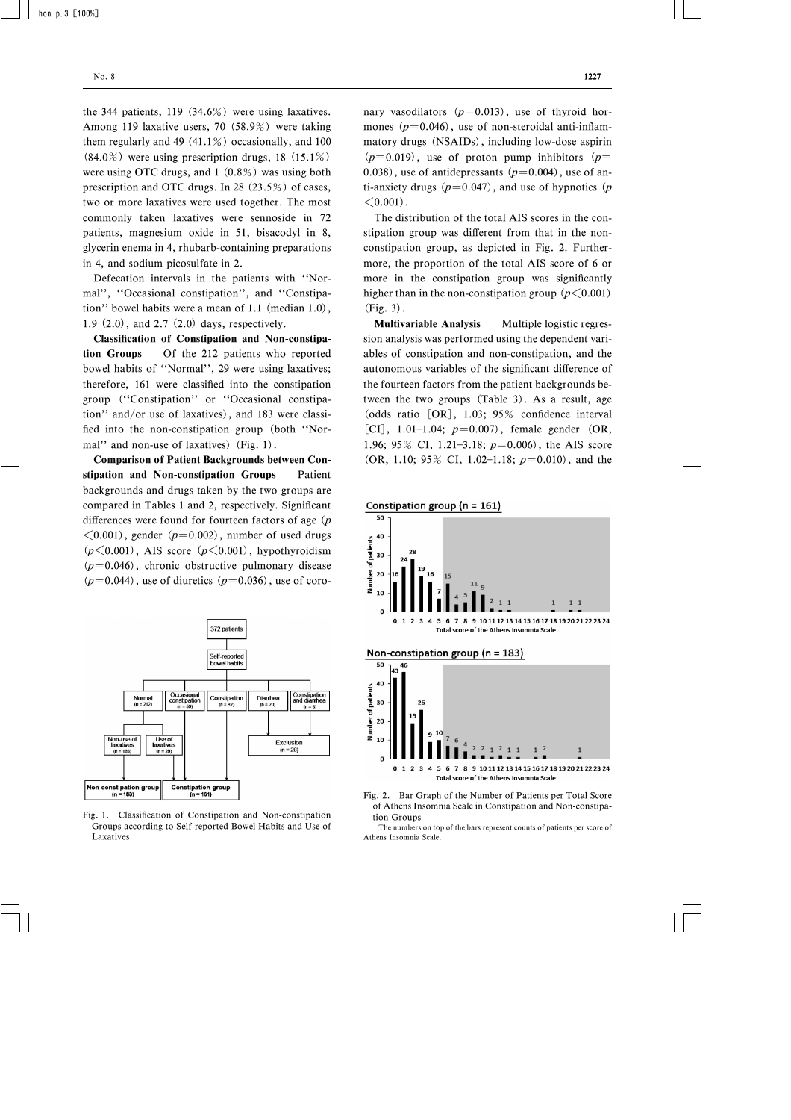the 344 patients, 119 (34.6%) were using laxatives. Among 119 laxative users, 70 (58.9%) were taking them regularly and 49 (41.1%) occasionally, and 100 (84.0%) were using prescription drugs, 18 (15.1%) were using OTC drugs, and 1 (0.8%) was using both prescription and OTC drugs. In 28 (23.5%) of cases, two or more laxatives were used together. The most commonly taken laxatives were sennoside in 72 patients, magnesium oxide in 51, bisacodyl in 8, glycerin enema in 4, rhubarb-containing preparations in 4, and sodium picosulfate in 2.

Defecation intervals in the patients with "Normal", "Occasional constipation", and "Constipation'' bowel habits were a mean of 1.1 (median 1.0), 1.9 (2.0), and 2.7 (2.0) days, respectively.

Classification of Constipation and Non-constipation Groups Of the 212 patients who reported bowel habits of "Normal", 29 were using laxatives; therefore, 161 were classified into the constipation group ("Constipation" or "Occasional constipation'' and/or use of laxatives), and 183 were classified into the non-constipation group (both "Normal" and non-use of laxatives) (Fig. 1).

Comparison of Patient Backgrounds between Constipation and Non-constipation Groups Patient backgrounds and drugs taken by the two groups are compared in Tables 1 and 2, respectively. Significant differences were found for fourteen factors of age  $(p)$  $\leq$ 0.001), gender (p=0.002), number of used drugs  $(p<0.001)$ , AIS score  $(p<0.001)$ , hypothyroidism  $(p=0.046)$ , chronic obstructive pulmonary disease  $(p=0.044)$ , use of diuretics  $(p=0.036)$ , use of coro-



Fig. 1. Classification of Constipation and Non-constipation Groups according to Self-reported Bowel Habits and Use of Laxatives

nary vasodilators  $(p=0.013)$ , use of thyroid hormones  $(p=0.046)$ , use of non-steroidal anti-inflammatory drugs (NSAIDs), including low-dose aspirin  $(p=0.019)$ , use of proton pump inhibitors  $(p=0.019)$ 0.038), use of antidepressants  $(p=0.004)$ , use of anti-anxiety drugs  $(p=0.047)$ , and use of hypnotics  $(p)$  $< 0.001$ .

The distribution of the total AIS scores in the constipation group was different from that in the nonconstipation group, as depicted in Fig. 2. Furthermore, the proportion of the total AIS score of 6 or more in the constipation group was significantly higher than in the non-constipation group  $(p<0.001)$  $(Fig. 3)$ .

Multivariable Analysis Multiple logistic regression analysis was performed using the dependent variables of constipation and non-constipation, and the autonomous variables of the significant difference of the fourteen factors from the patient backgrounds between the two groups (Table 3). As a result, age (odds ratio  $[OR]$ , 1.03; 95% confidence interval [CI], 1.01-1.04;  $p=0.007$ ), female gender (OR, 1.96; 95% CI, 1.21-3.18;  $p=0.006$ , the AIS score (OR, 1.10; 95% CI, 1.02-1.18;  $p=0.010$ ), and the









The numbers on top of the bars represent counts of patients per score of Athens Insomnia Scale.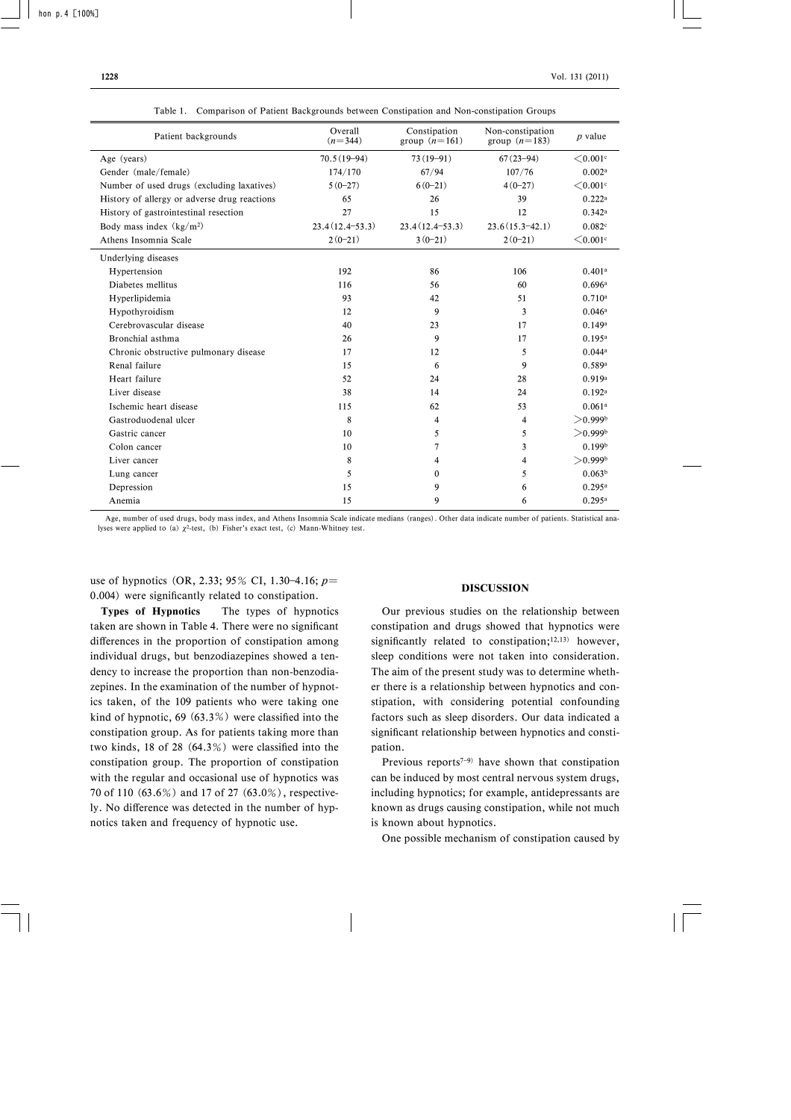| Patient backgrounds                          | Overall<br>$(n=344)$ | Constipation<br>group $(n=161)$ | Non-constipation<br>group $(n=183)$ | $p$ value             |
|----------------------------------------------|----------------------|---------------------------------|-------------------------------------|-----------------------|
| Age (years)                                  | $70.5(19-94)$        | $73(19-91)$                     | $67(23 - 94)$                       | $<$ 0.001 $\circ$     |
| Gender (male/female)                         | 174/170              | 67/94                           | 107/76                              | 0.002a                |
| Number of used drugs (excluding laxatives)   | $5(0-27)$            | $6(0-21)$                       | $4(0-27)$                           | $\leq 0.001$ c        |
| History of allergy or adverse drug reactions | 65                   | 26                              | 39                                  | 0.222a                |
| History of gastrointestinal resection        | 27                   | 15                              | 12                                  | 0.342a                |
| Body mass index $(kg/m2)$                    | $23.4(12.4-53.3)$    | $23.4(12.4 - 53.3)$             | $23.6(15.3-42.1)$                   | 0.082c                |
| Athens Insomnia Scale                        | $2(0-21)$            | $3(0-21)$                       | $2(0-21)$                           | $<$ 0.001 $\circ$     |
| Underlying diseases                          |                      |                                 |                                     |                       |
| Hypertension                                 | 192                  | 86                              | 106                                 | 0.401 <sup>a</sup>    |
| Diabetes mellitus                            | 116                  | 56                              | 60                                  | 0.696a                |
| Hyperlipidemia                               | 93                   | 42                              | 51                                  | 0.710a                |
| Hypothyroidism                               | 12                   | 9                               | 3                                   | 0.046a                |
| Cerebrovascular disease                      | 40                   | 23                              | 17                                  | 0.149a                |
| Bronchial asthma                             | 26                   | 9                               | 17                                  | 0.195a                |
| Chronic obstructive pulmonary disease        | 17                   | 12                              | 5                                   | 0.044a                |
| Renal failure                                | 15                   | 6                               | 9                                   | 0.589a                |
| Heart failure                                | 52                   | 24                              | 28                                  | 0.919a                |
| Liver disease                                | 38                   | 14                              | 24                                  | 0.192a                |
| Ischemic heart disease                       | 115                  | 62                              | 53                                  | 0.061a                |
| Gastroduodenal ulcer                         | 8                    | 4                               | $\overline{4}$                      | >0.999 <sup>b</sup>   |
| Gastric cancer                               | 10                   | 5                               | 5                                   | $>0.999$ <sup>b</sup> |
| Colon cancer                                 | 10                   | 7                               | $\overline{3}$                      | 0.199 <sup>b</sup>    |
| Liver cancer                                 | 8                    | 4                               | 4                                   | >0.999 <sup>b</sup>   |
| Lung cancer                                  | 5                    | $\Omega$                        | 5                                   | 0.063 <sup>b</sup>    |
| Depression                                   | 15                   | 9                               | 6                                   | 0.295a                |
| Anemia                                       | 15                   | 9                               | 6                                   | 0.295a                |

Table 1. Comparison of Patient Backgrounds between Constipation and Non-constipation Groups

Age, number of used drugs, body mass index, and Athens Insomnia Scale indicate medians (ranges). Other data indicate number of patients. Statistical analyses were applied to (a)  $\chi^2$ -test, (b) Fisher's exact test, (c) Mann-Whitney test.

use of hypnotics (OR, 2.33; 95% CI, 1.30–4.16;  $p=$ 0.004) were significantly related to constipation.

Types of Hypnotics The types of hypnotics taken are shown in Table 4. There were no significant differences in the proportion of constipation among individual drugs, but benzodiazepines showed a tendency to increase the proportion than non-benzodiazepines. In the examination of the number of hypnotics taken, of the 109 patients who were taking one kind of hypnotic, 69  $(63.3\%)$  were classified into the constipation group. As for patients taking more than two kinds, 18 of 28  $(64.3\%)$  were classified into the constipation group. The proportion of constipation with the regular and occasional use of hypnotics was 70 of 110 (63.6%) and 17 of 27 (63.0%), respectively. No difference was detected in the number of hypnotics taken and frequency of hypnotic use.

#### DISCUSSION

Our previous studies on the relationship between constipation and drugs showed that hypnotics were significantly related to constipation; $12,13$ ) however, sleep conditions were not taken into consideration. The aim of the present study was to determine whether there is a relationship between hypnotics and constipation, with considering potential confounding factors such as sleep disorders. Our data indicated a significant relationship between hypnotics and constipation.

Previous reports<sup> $7-9$ </sup> have shown that constipation can be induced by most central nervous system drugs, including hypnotics; for example, antidepressants are known as drugs causing constipation, while not much is known about hypnotics.

One possible mechanism of constipation caused by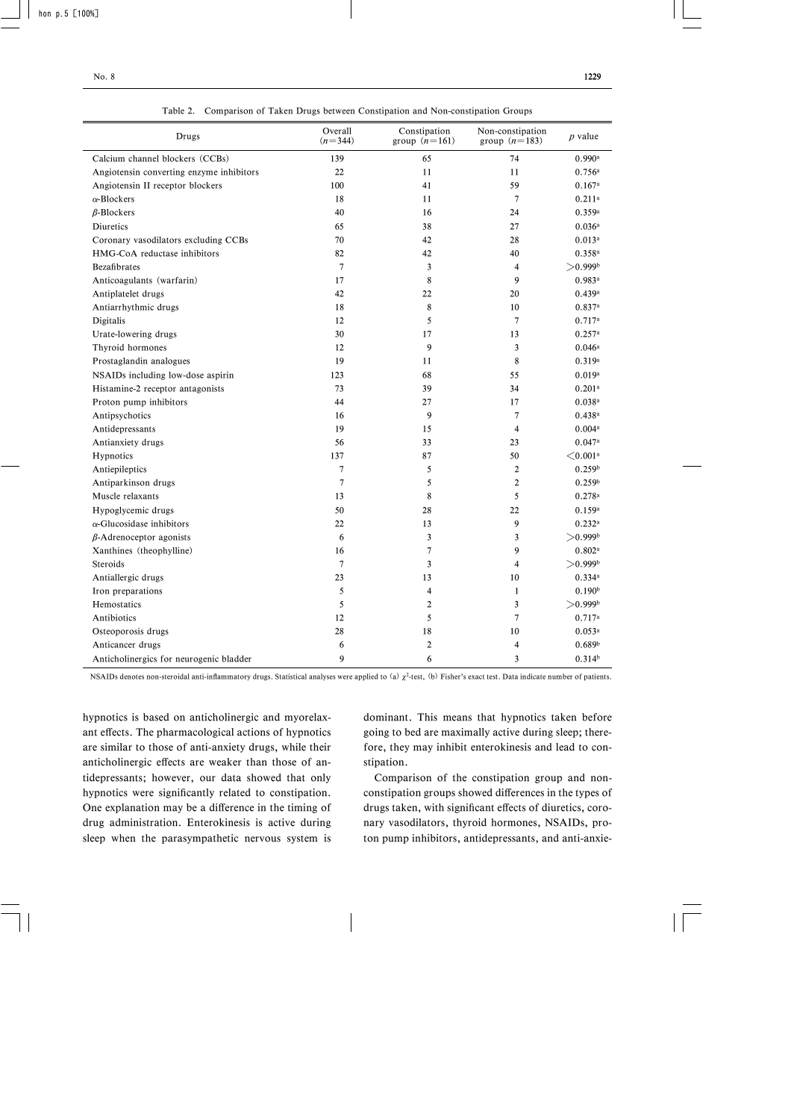| Drugs                                    | Overall<br>$(n=344)$ | Constipation<br>group $(n=161)$ | Non-constipation<br>group $(n=183)$ | $p$ value               |
|------------------------------------------|----------------------|---------------------------------|-------------------------------------|-------------------------|
| Calcium channel blockers (CCBs)          | 139                  | 65                              | 74                                  | 0.990a                  |
| Angiotensin converting enzyme inhibitors | 22                   | 11                              | 11                                  | 0.756a                  |
| Angiotensin II receptor blockers         | 100                  | 41                              | 59                                  | 0.167a                  |
| $\alpha$ -Blockers                       | 18                   | 11                              | $\overline{7}$                      | $0.211$ <sup>a</sup>    |
| $\beta$ -Blockers                        | 40                   | 16                              | 24                                  | 0.359a                  |
| Diuretics                                | 65                   | 38                              | 27                                  | 0.036a                  |
| Coronary vasodilators excluding CCBs     | 70                   | 42                              | 28                                  | $0.013^a$               |
| HMG-CoA reductase inhibitors             | 82                   | 42                              | 40                                  | 0.358a                  |
| <b>Bezafibrates</b>                      | $\boldsymbol{7}$     | 3                               | $\overline{4}$                      | $>$ 0.999b              |
| Anticoagulants (warfarin)                | 17                   | 8                               | 9                                   | 0.983a                  |
| Antiplatelet drugs                       | 42                   | 22                              | 20                                  | 0.439a                  |
| Antiarrhythmic drugs                     | 18                   | 8                               | 10                                  | 0.837a                  |
| Digitalis                                | 12                   | 5                               | $\overline{7}$                      | 0.717a                  |
| Urate-lowering drugs                     | 30                   | 17                              | 13                                  | 0.257a                  |
| Thyroid hormones                         | 12                   | 9                               | 3                                   | 0.046a                  |
| Prostaglandin analogues                  | 19                   | 11                              | 8                                   | 0.319a                  |
| NSAIDs including low-dose aspirin        | 123                  | 68                              | 55                                  | 0.019a                  |
| Histamine-2 receptor antagonists         | 73                   | 39                              | 34                                  | $0.201$ <sup>a</sup>    |
| Proton pump inhibitors                   | 44                   | 27                              | 17                                  | 0.038a                  |
| Antipsychotics                           | 16                   | 9                               | $\overline{7}$                      | 0.438a                  |
| Antidepressants                          | 19                   | 15                              | $\overline{4}$                      | 0.004a                  |
| Antianxiety drugs                        | 56                   | 33                              | 23                                  | 0.047a                  |
| Hypnotics                                | 137                  | 87                              | 50                                  | ${<}0.001$ <sup>a</sup> |
| Antiepileptics                           | $\overline{7}$       | 5                               | $\overline{2}$                      | 0.259 <sup>b</sup>      |
| Antiparkinson drugs                      | $\overline{7}$       | 5                               | $\overline{2}$                      | 0.259 <sup>b</sup>      |
| Muscle relaxants                         | 13                   | 8                               | 5                                   | 0.278a                  |
| Hypoglycemic drugs                       | 50                   | 28                              | 22                                  | 0.159a                  |
| $\alpha$ -Glucosidase inhibitors         | 22                   | 13                              | 9                                   | $0.232$ <sup>a</sup>    |
| $\beta$ -Adrenoceptor agonists           | 6                    | $\overline{3}$                  | 3                                   | $>$ 0.999b              |
| Xanthines (theophylline)                 | 16                   | $\overline{7}$                  | 9                                   | 0.802a                  |
| Steroids                                 | $\overline{7}$       | 3                               | $\overline{4}$                      | $>$ 0.999b              |
| Antiallergic drugs                       | 23                   | 13                              | 10                                  | 0.334a                  |
| Iron preparations                        | 5                    | $\overline{4}$                  | $\mathbf{1}$                        | 0.190 <sup>b</sup>      |
| Hemostatics                              | 5                    | 2                               | 3                                   | $>$ 0.999b              |
| Antibiotics                              | 12                   | 5                               | $\overline{7}$                      | 0.717a                  |
| Osteoporosis drugs                       | 28                   | 18                              | 10                                  | 0.053a                  |
| Anticancer drugs                         | 6                    | $\overline{c}$                  | $\overline{4}$                      | 0.689 <sup>b</sup>      |
| Anticholinergics for neurogenic bladder  | 9                    | 6                               | 3                                   | 0.314 <sup>b</sup>      |

Table 2. Comparison of Taken Drugs between Constipation and Non-constipation Groups

NSAIDs denotes non-steroidal anti-inflammatory drugs. Statistical analyses were applied to (a)  $\chi^2$ -test, (b) Fisher's exact test. Data indicate number of patients.

hypnotics is based on anticholinergic and myorelaxant effects. The pharmacological actions of hypnotics are similar to those of anti-anxiety drugs, while their anticholinergic effects are weaker than those of antidepressants; however, our data showed that only hypnotics were significantly related to constipation. One explanation may be a difference in the timing of drug administration. Enterokinesis is active during sleep when the parasympathetic nervous system is dominant. This means that hypnotics taken before going to bed are maximally active during sleep; therefore, they may inhibit enterokinesis and lead to constipation.

Comparison of the constipation group and nonconstipation groups showed differences in the types of drugs taken, with significant effects of diuretics, coronary vasodilators, thyroid hormones, NSAIDs, proton pump inhibitors, antidepressants, and anti-anxie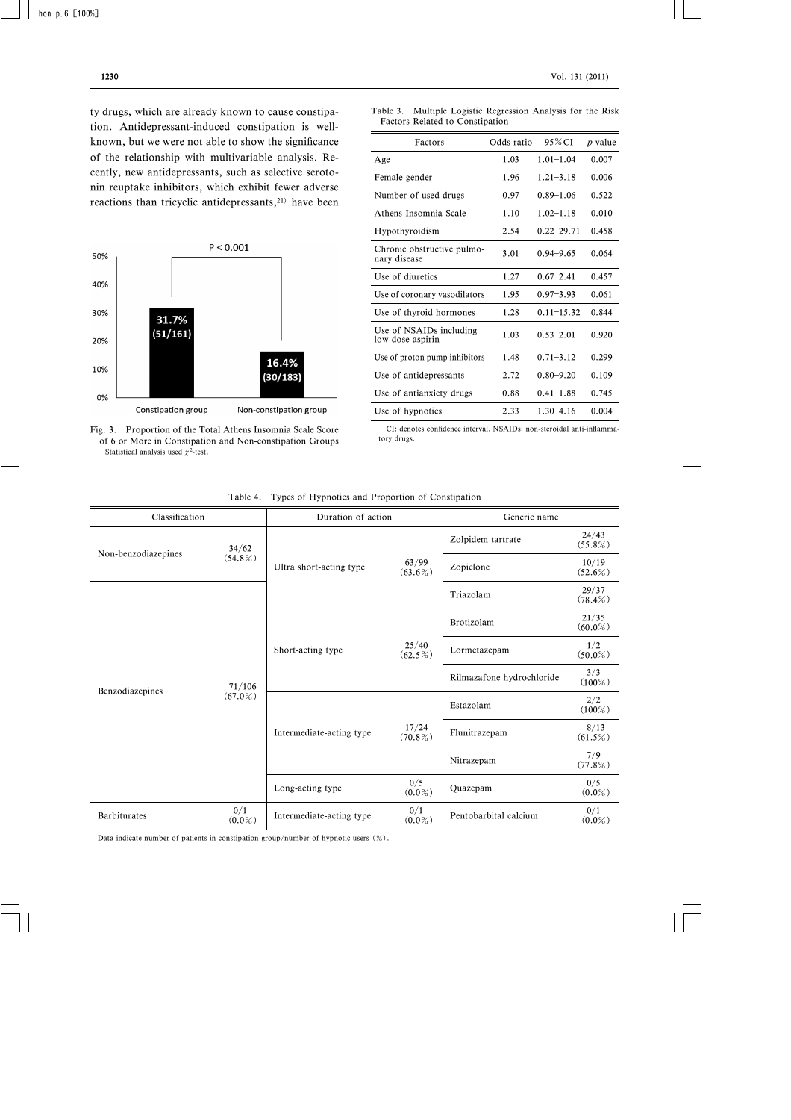ty drugs, which are already known to cause constipation. Antidepressant-induced constipation is wellknown, but we were not able to show the significance of the relationship with multivariable analysis. Recently, new antidepressants, such as selective serotonin reuptake inhibitors, which exhibit fewer adverse reactions than tricyclic antidepressants, $21$ ) have been



Fig. 3. Proportion of the Total Athens Insomnia Scale Score of 6 or More in Constipation and Non-constipation Groups Statistical analysis used  $\chi^2$ -test.

| Table 3. Multiple Logistic Regression Analysis for the Risk |  |  |  |
|-------------------------------------------------------------|--|--|--|
| Factors Related to Constipation                             |  |  |  |

| Factors                                     | Odds ratio | 95% CI         | <i>p</i> value |
|---------------------------------------------|------------|----------------|----------------|
| Age                                         | 1.03       | $1.01 - 1.04$  | 0.007          |
| Female gender                               | 1.96       | $1.21 - 3.18$  | 0.006          |
| Number of used drugs                        | 0.97       | $0.89 - 1.06$  | 0.522          |
| Athens Insomnia Scale                       | 1.10       | $1.02 - 1.18$  | 0.010          |
| Hypothyroidism                              | 2.54       | $0.22 - 29.71$ | 0.458          |
| Chronic obstructive pulmo-<br>nary disease  | 3.01       | $0.94 - 9.65$  | 0.064          |
| Use of diuretics                            | 1.27       | $0.67 - 2.41$  | 0.457          |
| Use of coronary vasodilators                | 1.95       | $0.97 - 3.93$  | 0.061          |
| Use of thyroid hormones                     | 1.28       | $0.11 - 15.32$ | 0.844          |
| Use of NSAIDs including<br>low-dose aspirin | 1.03       | $0.53 - 2.01$  | 0.920          |
| Use of proton pump inhibitors               | 1.48       | $0.71 - 3.12$  | 0.299          |
| Use of antidepressants                      | 2.72       | $0.80 - 9.20$  | 0.109          |
| Use of antianxiety drugs                    | 0.88       | $0.41 - 1.88$  | 0.745          |
| Use of hypnotics                            | 2.33       | $1.30 - 4.16$  | 0.004          |

CI: denotes confidence interval, NSAIDs: non-steroidal anti-inflammatory drugs.

| Classification      |                  | Duration of action       |                     | Generic name                                            |                     |
|---------------------|------------------|--------------------------|---------------------|---------------------------------------------------------|---------------------|
| Non-benzodiazepines | 34/62            |                          |                     | Zolpidem tartrate                                       | 24/43<br>$(55.8\%)$ |
|                     | $(54.8\%)$       | Ultra short-acting type  | 63/99<br>$(63.6\%)$ | Zopiclone                                               | 10/19<br>$(52.6\%)$ |
| Benzodiazepines     |                  |                          |                     | Triazolam                                               | 29/37<br>$(78.4\%)$ |
|                     |                  | Short-acting type        |                     | Brotizolam<br>Lormetazepam<br>Rilmazafone hydrochloride | 21/35<br>$(60.0\%)$ |
|                     |                  |                          | 25/40<br>$(62.5\%)$ |                                                         | 1/2<br>$(50.0\%)$   |
|                     | 71/106           |                          |                     |                                                         | 3/3<br>$(100\%)$    |
|                     | $(67.0\%)$       | Intermediate-acting type |                     | Estazolam<br>Flunitrazepam<br>Nitrazepam                | 2/2<br>$(100\%)$    |
|                     |                  |                          | 17/24<br>$(70.8\%)$ |                                                         | 8/13<br>$(61.5\%)$  |
|                     |                  |                          |                     |                                                         | 7/9<br>(77.8%       |
|                     |                  | Long-acting type         | 0/5<br>$(0.0\%)$    | Quazepam                                                | 0/5<br>$(0.0\%)$    |
| <b>Barbiturates</b> | 0/1<br>$(0.0\%)$ | Intermediate-acting type | 0/1<br>$(0.0\%)$    | Pentobarbital calcium                                   | 0/1<br>$(0.0\%)$    |

Table 4. Types of Hypnotics and Proportion of Constipation

Data indicate number of patients in constipation group/number of hypnotic users (%).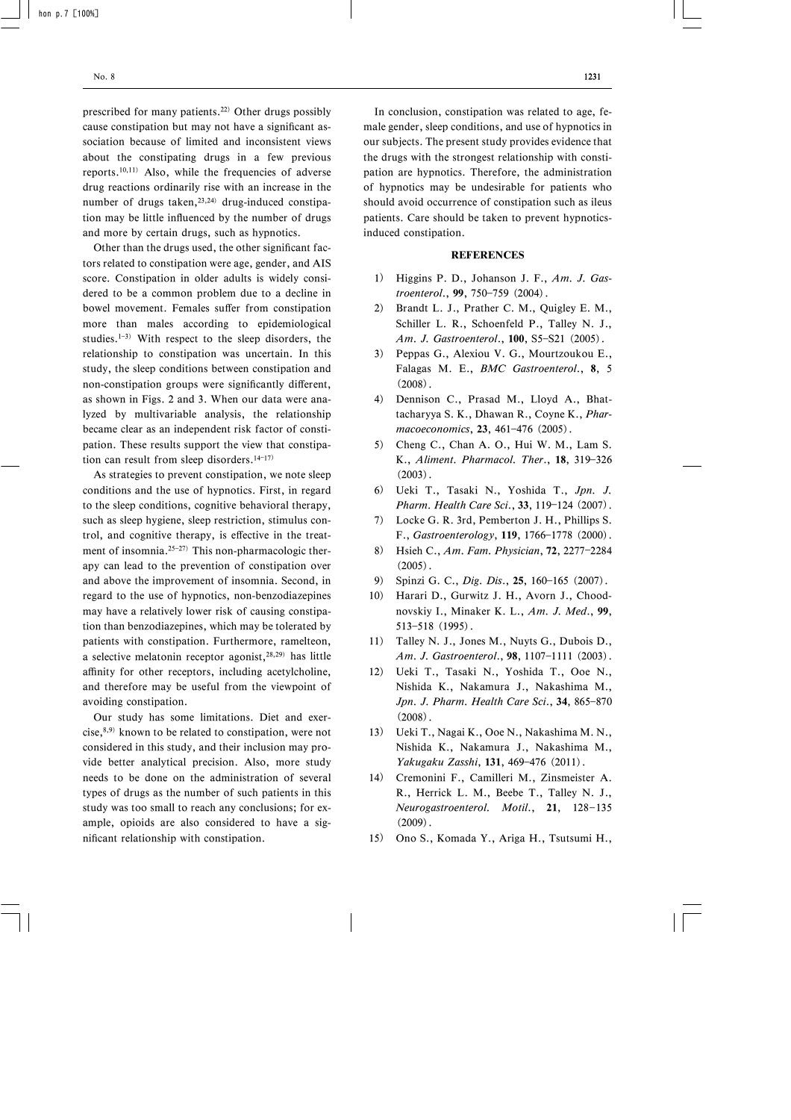prescribed for many patients.22) Other drugs possibly cause constipation but may not have a significant association because of limited and inconsistent views about the constipating drugs in a few previous reports.10,11) Also, while the frequencies of adverse drug reactions ordinarily rise with an increase in the number of drugs taken,  $23,24$  drug-induced constipation may be little influenced by the number of drugs and more by certain drugs, such as hypnotics.

Other than the drugs used, the other significant factors related to constipation were age, gender, and AIS score. Constipation in older adults is widely considered to be a common problem due to a decline in bowel movement. Females suffer from constipation more than males according to epidemiological studies.<sup>1-3)</sup> With respect to the sleep disorders, the relationship to constipation was uncertain. In this study, the sleep conditions between constipation and non-constipation groups were significantly different, as shown in Figs. 2 and 3. When our data were analyzed by multivariable analysis, the relationship became clear as an independent risk factor of constipation. These results support the view that constipation can result from sleep disorders. $14-17$ )

As strategies to prevent constipation, we note sleep conditions and the use of hypnotics. First, in regard to the sleep conditions, cognitive behavioral therapy, such as sleep hygiene, sleep restriction, stimulus control, and cognitive therapy, is effective in the treatment of insomnia.<sup>25-27)</sup> This non-pharmacologic therapy can lead to the prevention of constipation over and above the improvement of insomnia. Second, in regard to the use of hypnotics, non-benzodiazepines may have a relatively lower risk of causing constipation than benzodiazepines, which may be tolerated by patients with constipation. Furthermore, ramelteon, a selective melatonin receptor agonist, $28,29$ ) has little affinity for other receptors, including acetylcholine, and therefore may be useful from the viewpoint of avoiding constipation.

Our study has some limitations. Diet and exercise, $8,9)$  known to be related to constipation, were not considered in this study, and their inclusion may provide better analytical precision. Also, more study needs to be done on the administration of several types of drugs as the number of such patients in this study was too small to reach any conclusions; for example, opioids are also considered to have a significant relationship with constipation.

In conclusion, constipation was related to age, female gender, sleep conditions, and use of hypnotics in our subjects. The present study provides evidence that the drugs with the strongest relationship with constipation are hypnotics. Therefore, the administration of hypnotics may be undesirable for patients who should avoid occurrence of constipation such as ileus patients. Care should be taken to prevent hypnoticsinduced constipation.

### **REFERENCES**

- 1) Higgins P. D., Johanson J. F., Am. J. Gastroenterol., 99, 750-759 (2004).
- 2) Brandt L. J., Prather C. M., Quigley E. M., Schiller L. R., Schoenfeld P., Talley N. J., Am. J. Gastroenterol., 100, S5-S21 (2005).
- 3) Peppas G., Alexiou V. G., Mourtzoukou E., Falagas M. E., BMC Gastroenterol., 8, 5  $(2008)$ .
- 4) Dennison C., Prasad M., Lloyd A., Bhattacharyya S. K., Dhawan R., Coyne K., Pharmacoeconomics, 23, 461-476 (2005).
- 5) Cheng C., Chan A. O., Hui W. M., Lam S. K., Aliment. Pharmacol. Ther., 18, 319-326  $(2003)$ .
- 6) Ueki T., Tasaki N., Yoshida T., Jpn. J. Pharm. Health Care Sci., 33, 119-124 (2007).
- 7) Locke G. R. 3rd, Pemberton J. H., Phillips S. F., Gastroenterology, 119, 1766-1778 (2000).
- 8) Hsieh C., Am. Fam. Physician, 72, 2277-2284  $(2005)$ .
- 9) Spinzi G. C., Dig. Dis., 25, 160-165 (2007).
- 10) Harari D., Gurwitz J. H., Avorn J., Choodnovskiy I., Minaker K. L., Am. J. Med., 99, 513-518 (1995).
- 11) Talley N. J., Jones M., Nuyts G., Dubois D., Am. J. Gastroenterol., 98, 1107-1111 (2003).
- 12) Ueki T., Tasaki N., Yoshida T., Ooe N., Nishida K., Nakamura J., Nakashima M., Jpn. J. Pharm. Health Care Sci., 34, 865-870  $(2008)$ .
- 13) Ueki T., Nagai K., Ooe N., Nakashima M. N., Nishida K., Nakamura J., Nakashima M., Yakugaku Zasshi, 131, 469-476 (2011).
- 14) Cremonini F., Camilleri M., Zinsmeister A. R., Herrick L. M., Beebe T., Talley N. J., Neurogastroenterol. Motil., 21, 128-135  $(2009)$ .
- 15) Ono S., Komada Y., Ariga H., Tsutsumi H.,